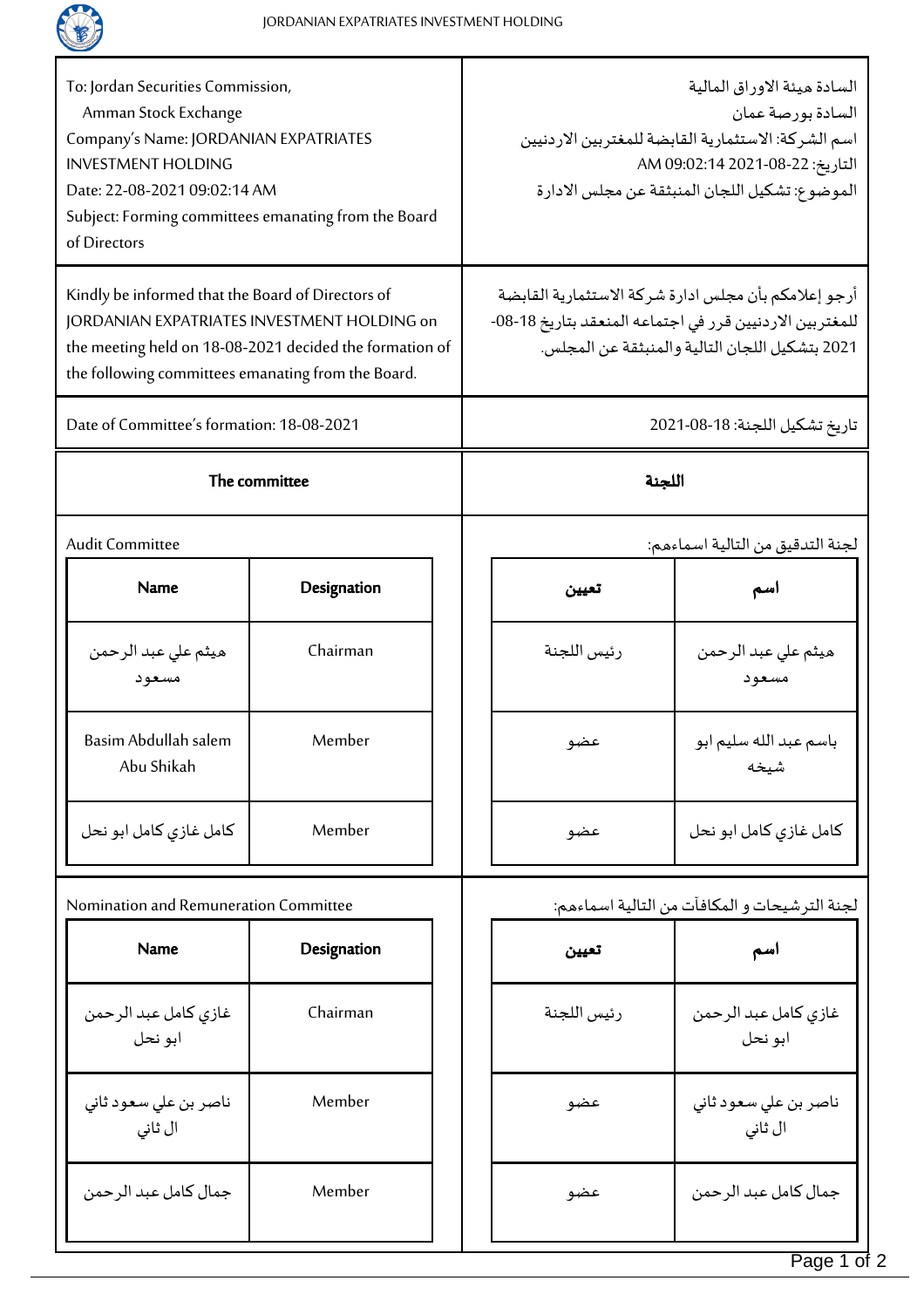

| To: Jordan Securities Commission,<br>Amman Stock Exchange<br>Company's Name: JORDANIAN EXPATRIATES<br><b>INVESTMENT HOLDING</b><br>Date: 22-08-2021 09:02:14 AM<br>Subject: Forming committees emanating from the Board<br>of Directors |             |  | السادة ميئة الاوراق المالية<br>السادة بورصة عمان<br>اسم الشركة: الاستثمارية القابضة للمغتربين الاردنيين<br>التاريخ: 22-08-2021 09:02:14 AM<br>الموضوع: تشكيل اللجان المنبثقة عن مجلس الادارة |                                  |  |
|-----------------------------------------------------------------------------------------------------------------------------------------------------------------------------------------------------------------------------------------|-------------|--|----------------------------------------------------------------------------------------------------------------------------------------------------------------------------------------------|----------------------------------|--|
| Kindly be informed that the Board of Directors of<br>JORDANIAN EXPATRIATES INVESTMENT HOLDING on<br>the meeting held on 18-08-2021 decided the formation of<br>the following committees emanating from the Board.                       |             |  | أرجو إعلامكم بأن مجلس ادارة شركة الاستثمارية القابضة<br>للمغتربين الاردنيين قرر في اجتماعه المنعقد بتاريخ 18-08-<br>2021 بتشكيل اللجان التالية والمنبثقة عن المجلس.                          |                                  |  |
| Date of Committee's formation: 18-08-2021                                                                                                                                                                                               |             |  | تاريخ تشكيل اللجنة: 18-08-2021                                                                                                                                                               |                                  |  |
| The committee                                                                                                                                                                                                                           |             |  | اللجنة                                                                                                                                                                                       |                                  |  |
| <b>Audit Committee</b>                                                                                                                                                                                                                  |             |  | لجنة التدقيق من التالية اسماءهم:                                                                                                                                                             |                                  |  |
| <b>Name</b>                                                                                                                                                                                                                             | Designation |  | تعيين                                                                                                                                                                                        | اسم                              |  |
| هيثم علي عبد الرحمن<br>مسعود                                                                                                                                                                                                            | Chairman    |  | رئيس اللجنة                                                                                                                                                                                  | هيثم علي عبد الرحمن<br>مسعود     |  |
| Basim Abdullah salem<br>Abu Shikah                                                                                                                                                                                                      | Member      |  | عضو                                                                                                                                                                                          | باسم عبد الله سليم ابو<br>شيخه   |  |
| كامل غازي كامل ابو نحل                                                                                                                                                                                                                  | Member      |  | عضو                                                                                                                                                                                          | كامل غازي كامل ابو نحل           |  |
| Nomination and Remuneration Committee                                                                                                                                                                                                   |             |  | لجنة الترشيحات و المكافآت من التالية اسماءهم:                                                                                                                                                |                                  |  |
| <b>Name</b>                                                                                                                                                                                                                             | Designation |  | تعيين                                                                                                                                                                                        | اسم                              |  |
| غازي كامل عبد الرحمن<br>ابو نحل                                                                                                                                                                                                         | Chairman    |  | رئيس اللجنة                                                                                                                                                                                  | غازى كامل عبد الرحمن<br>ابو نحل  |  |
| ناصر بن على سعود ثاني<br>ال ثانی                                                                                                                                                                                                        | Member      |  | عضو                                                                                                                                                                                          | ناصر بن على سعود ثاني<br>ال ثانی |  |
| جمال كامل عبد الرحمن                                                                                                                                                                                                                    | Member      |  | عضو                                                                                                                                                                                          | جمال كامل عبد الرحمن             |  |